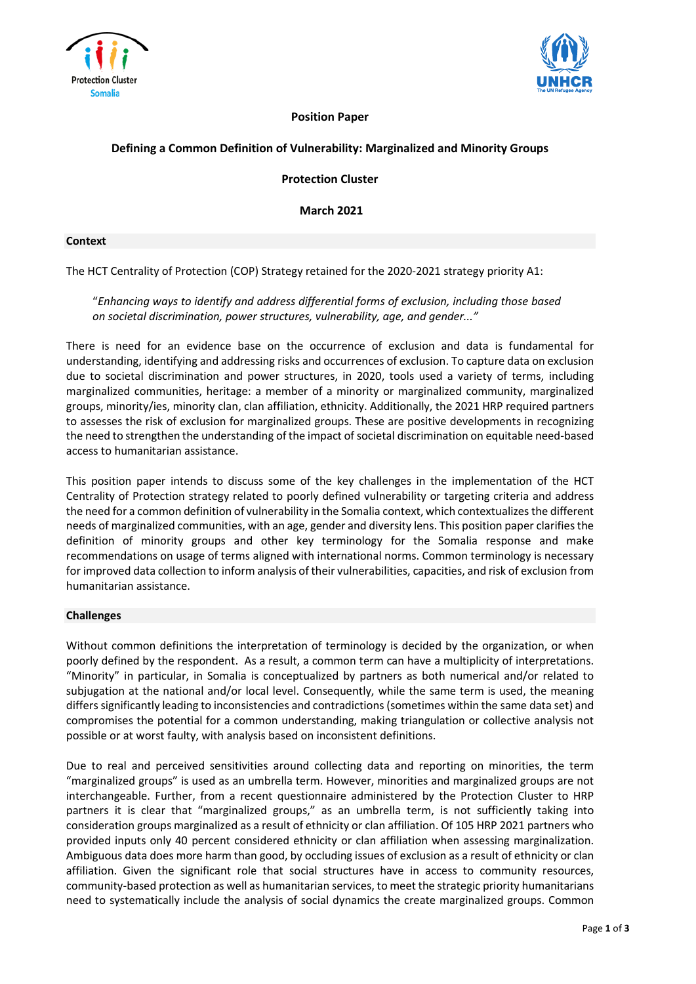



## **Position Paper**

# **Defining a Common Definition of Vulnerability: Marginalized and Minority Groups**

**Protection Cluster**

**March 2021**

#### **Context**

The HCT Centrality of Protection (COP) Strategy retained for the 2020-2021 strategy priority A1:

## "*Enhancing ways to identify and address differential forms of exclusion, including those based on societal discrimination, power structures, vulnerability, age, and gender..."*

There is need for an evidence base on the occurrence of exclusion and data is fundamental for understanding, identifying and addressing risks and occurrences of exclusion. To capture data on exclusion due to societal discrimination and power structures, in 2020, tools used a variety of terms, including marginalized communities, heritage: a member of a minority or marginalized community, marginalized groups, minority/ies, minority clan, clan affiliation, ethnicity. Additionally, the 2021 HRP required partners to assesses the risk of exclusion for marginalized groups. These are positive developments in recognizing the need to strengthen the understanding of the impact of societal discrimination on equitable need-based access to humanitarian assistance.

This position paper intends to discuss some of the key challenges in the implementation of the HCT Centrality of Protection strategy related to poorly defined vulnerability or targeting criteria and address the need for a common definition of vulnerability in the Somalia context, which contextualizesthe different needs of marginalized communities, with an age, gender and diversity lens. This position paper clarifiesthe definition of minority groups and other key terminology for the Somalia response and make recommendations on usage of terms aligned with international norms. Common terminology is necessary for improved data collection to inform analysis of their vulnerabilities, capacities, and risk of exclusion from humanitarian assistance.

### **Challenges**

Without common definitions the interpretation of terminology is decided by the organization, or when poorly defined by the respondent. As a result, a common term can have a multiplicity of interpretations. "Minority" in particular, in Somalia is conceptualized by partners as both numerical and/or related to subjugation at the national and/or local level. Consequently, while the same term is used, the meaning differs significantly leading to inconsistencies and contradictions (sometimes within the same data set) and compromises the potential for a common understanding, making triangulation or collective analysis not possible or at worst faulty, with analysis based on inconsistent definitions.

Due to real and perceived sensitivities around collecting data and reporting on minorities, the term "marginalized groups" is used as an umbrella term. However, minorities and marginalized groups are not interchangeable. Further, from a recent questionnaire administered by the Protection Cluster to HRP partners it is clear that "marginalized groups," as an umbrella term, is not sufficiently taking into consideration groups marginalized as a result of ethnicity or clan affiliation. Of 105 HRP 2021 partners who provided inputs only 40 percent considered ethnicity or clan affiliation when assessing marginalization. Ambiguous data does more harm than good, by occluding issues of exclusion as a result of ethnicity or clan affiliation. Given the significant role that social structures have in access to community resources, community-based protection as well as humanitarian services, to meet the strategic priority humanitarians need to systematically include the analysis of social dynamics the create marginalized groups. Common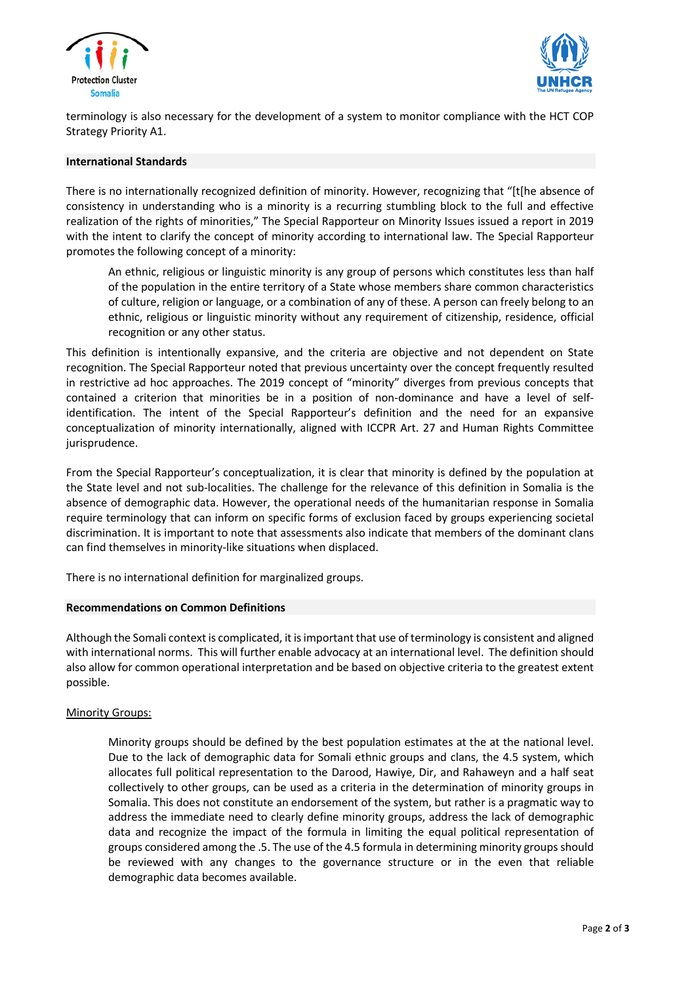



terminology is also necessary for the development of a system to monitor compliance with the HCT COP Strategy Priority A1.

### **International Standards**

There is no internationally recognized definition of minority. However, recognizing that "[t[he absence of consistency in understanding who is a minority is a recurring stumbling block to the full and effective realization of the rights of minorities," The Special Rapporteur on Minority Issues issued a report in 2019 with the intent to clarify the concept of minority according to international law. The Special Rapporteur promotes the following concept of a minority:

An ethnic, religious or linguistic minority is any group of persons which constitutes less than half of the population in the entire territory of a State whose members share common characteristics of culture, religion or language, or a combination of any of these. A person can freely belong to an ethnic, religious or linguistic minority without any requirement of citizenship, residence, official recognition or any other status.

This definition is intentionally expansive, and the criteria are objective and not dependent on State recognition. The Special Rapporteur noted that previous uncertainty over the concept frequently resulted in restrictive ad hoc approaches. The 2019 concept of "minority" diverges from previous concepts that contained a criterion that minorities be in a position of non-dominance and have a level of selfidentification. The intent of the Special Rapporteur's definition and the need for an expansive conceptualization of minority internationally, aligned with ICCPR Art. 27 and Human Rights Committee jurisprudence.

From the Special Rapporteur's conceptualization, it is clear that minority is defined by the population at the State level and not sub-localities. The challenge for the relevance of this definition in Somalia is the absence of demographic data. However, the operational needs of the humanitarian response in Somalia require terminology that can inform on specific forms of exclusion faced by groups experiencing societal discrimination. It is important to note that assessments also indicate that members of the dominant clans can find themselves in minority-like situations when displaced.

There is no international definition for marginalized groups.

### **Recommendations on Common Definitions**

Although the Somali contextis complicated, it isimportant that use of terminology is consistent and aligned with international norms. This will further enable advocacy at an international level. The definition should also allow for common operational interpretation and be based on objective criteria to the greatest extent possible.

### Minority Groups:

Minority groups should be defined by the best population estimates at the at the national level. Due to the lack of demographic data for Somali ethnic groups and clans, the 4.5 system, which allocates full political representation to the Darood, Hawiye, Dir, and Rahaweyn and a half seat collectively to other groups, can be used as a criteria in the determination of minority groups in Somalia. This does not constitute an endorsement of the system, but rather is a pragmatic way to address the immediate need to clearly define minority groups, address the lack of demographic data and recognize the impact of the formula in limiting the equal political representation of groups considered among the .5. The use of the 4.5 formula in determining minority groups should be reviewed with any changes to the governance structure or in the even that reliable demographic data becomes available.